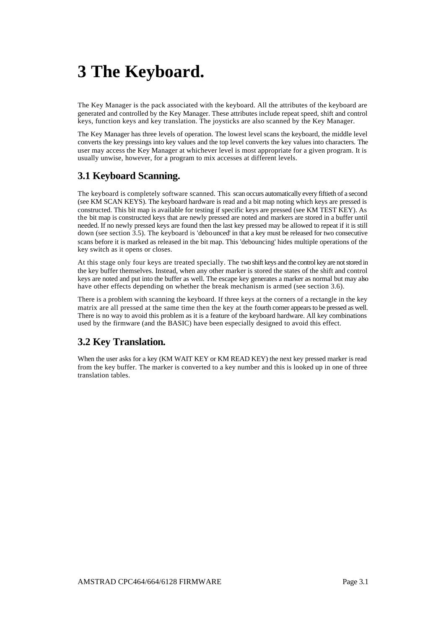# **3 The Keyboard.**

The Key Manager is the pack associated with the keyboard. All the attributes of the keyboard are generated and controlled by the Key Manager. These attributes include repeat speed, shift and control keys, function keys and key translation. The joysticks are also scanned by the Key Manager.

The Key Manager has three levels of operation. The lowest level scans the keyboard, the middle level converts the key pressings into key values and the top level converts the key values into characters. The user may access the Key Manager at whichever level is most appropriate for a given program. It is usually unwise, however, for a program to mix accesses at different levels.

### **3.1 Keyboard Scanning.**

The keyboard is completely software scanned. This scan occurs automatically every fiftieth of a second (see KM SCAN KEYS). The keyboard hardware is read and a bit map noting which keys are pressed is constructed. This bit map is available for testing if specific keys are pressed (see KM TEST KEY). As the bit map is constructed keys that are newly pressed are noted and markers are stored in a buffer until needed. If no newly pressed keys are found then the last key pressed may be allowed to repeat if it is still down (see section 3.5). The keyboard is 'debounced' in that a key must be released for two consecutive scans before it is marked as released in the bit map. This 'debouncing' hides multiple operations of the key switch as it opens or closes.

At this stage only four keys are treated specially. The two shift keys and the control key are not stored in the key buffer themselves. Instead, when any other marker is stored the states of the shift and control keys are noted and put into the buffer as well. The escape key generates a marker as normal but may also have other effects depending on whether the break mechanism is armed (see section 3.6).

There is a problem with scanning the keyboard. If three keys at the corners of a rectangle in the key matrix are all pressed at the same time then the key at the fourth corner appears to be pressed as well. There is no way to avoid this problem as it is a feature of the keyboard hardware. All key combinations used by the firmware (and the BASIC) have been especially designed to avoid this effect.

### **3.2 Key Translation.**

When the user asks for a key (KM WAIT KEY or KM READ KEY) the next key pressed marker is read from the key buffer. The marker is converted to a key number and this is looked up in one of three translation tables.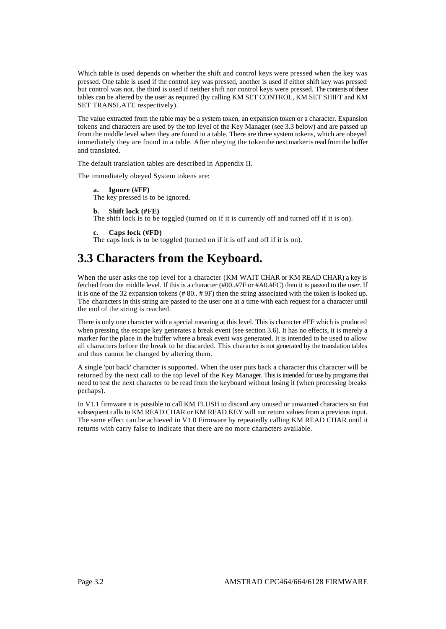Which table is used depends on whether the shift and control keys were pressed when the key was pressed. One table is used if the control key was pressed, another is used if either shift key was pressed but control was not, the third is used if neither shift nor control keys were pressed. The contents of these tables can be altered by the user as required (by calling KM SET CONTROL, KM SET SHIFT and KM SET TRANSLATE respectively).

The value extracted from the table may be a system token, an expansion token or a character. Expansion tokens and characters are used by the top level of the Key Manager (see 3.3 below) and are passed up from the middle level when they are found in a table. There are three system tokens, which are obeyed immediately they are found in a table. After obeying the token the next marker is read from the buffer and translated.

The default translation tables are described in Appendix II.

The immediately obeyed System tokens are:

**a. Ignore (#FF)**  The key pressed is to be ignored.

#### **b. Shift lock (#FE)**

The shift lock is to be toggled (turned on if it is currently off and turned off if it is on).

```
c. Caps lock (#FD)
```
The caps lock is to be toggled (turned on if it is off and off if it is on).

### **3.3 Characters from the Keyboard.**

When the user asks the top level for a character (KM WAIT CHAR or KM READ CHAR) a key is fetched from the middle level. If this is a character (#00..#7F or #A0.#FC) then it is passed to the user. If it is one of the 32 expansion tokens (# 80.. # 9F) then the string associated with the token is looked up. The characters in this string are passed to the user one at a time with each request for a character until the end of the string is reached.

There is only one character with a special meaning at this level. This is character #EF which is produced when pressing the escape key generates a break event (see section 3.6). It has no effects, it is merely a marker for the place in the buffer where a break event was generated. It is intended to be used to allow all characters before the break to be discarded. This character is not generated by the translation tables and thus cannot be changed by altering them.

A single 'put back' character is supported. When the user puts back a character this character will be returned by the next call to the top level of the Key Manager. This is intended for use by programs that need to test the next character to be read from the keyboard without losing it (when processing breaks perhaps).

In V1.1 firmware it is possible to call KM FLUSH to discard any unused or unwanted characters so that subsequent calls to KM READ CHAR or KM READ KEY will not return values from a previous input. The same effect can be achieved in V1.0 Firmware by repeatedly calling KM READ CHAR until it returns with carry false to indicate that there are no more characters available.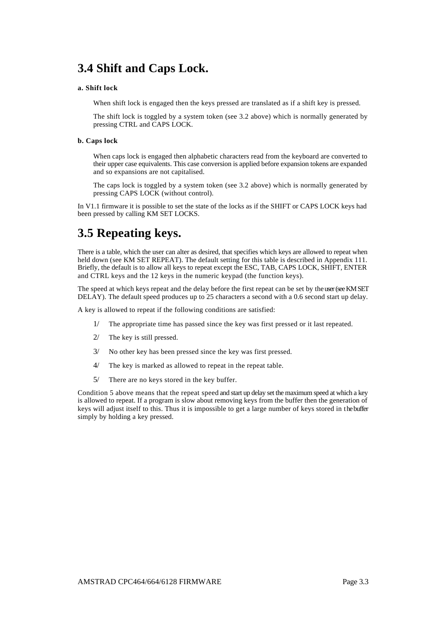### **3.4 Shift and Caps Lock.**

#### **a. Shift lock**

When shift lock is engaged then the keys pressed are translated as if a shift key is pressed.

The shift lock is toggled by a system token (see 3.2 above) which is normally generated by pressing CTRL and CAPS LOCK.

#### **b. Caps lock**

When caps lock is engaged then alphabetic characters read from the keyboard are converted to their upper case equivalents. This case conversion is applied before expansion tokens are expanded and so expansions are not capitalised.

The caps lock is toggled by a system token (see 3.2 above) which is normally generated by pressing CAPS LOCK (without control).

In V1.1 firmware it is possible to set the state of the locks as if the SHIFT or CAPS LOCK keys had been pressed by calling KM SET LOCKS.

### **3.5 Repeating keys.**

There is a table, which the user can alter as desired, that specifies which keys are allowed to repeat when held down (see KM SET REPEAT). The default setting for this table is described in Appendix 111. Briefly, the default is to allow all keys to repeat except the ESC, TAB, CAPS LOCK, SHIFT, ENTER and CTRL keys and the 12 keys in the numeric keypad (the function keys).

The speed at which keys repeat and the delay before the first repeat can be set by the user (see KM SET DELAY). The default speed produces up to 25 characters a second with a 0.6 second start up delay.

A key is allowed to repeat if the following conditions are satisfied:

- 1/ The appropriate time has passed since the key was first pressed or it last repeated.
- 2/ The key is still pressed.
- 3/ No other key has been pressed since the key was first pressed.
- 4/ The key is marked as allowed to repeat in the repeat table.
- 5/ There are no keys stored in the key buffer.

Condition 5 above means that the repeat speed and start up delay set the maximum speed at which a key is allowed to repeat. If a program is slow about removing keys from the buffer then the generation of keys will adjust itself to this. Thus it is impossible to get a large number of keys stored in the buffer simply by holding a key pressed.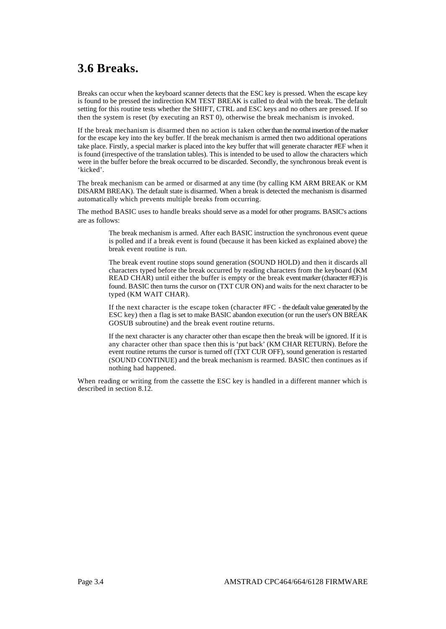# **3.6 Breaks.**

Breaks can occur when the keyboard scanner detects that the ESC key is pressed. When the escape key is found to be pressed the indirection KM TEST BREAK is called to deal with the break. The default setting for this routine tests whether the SHIFT, CTRL and ESC keys and no others are pressed. If so then the system is reset (by executing an RST 0), otherwise the break mechanism is invoked.

If the break mechanism is disarmed then no action is taken other than the normal insertion of the marker for the escape key into the key buffer. If the break mechanism is armed then two additional operations take place. Firstly, a special marker is placed into the key buffer that will generate character #EF when it is found (irrespective of the translation tables). This is intended to be used to allow the characters which were in the buffer before the break occurred to be discarded. Secondly, the synchronous break event is 'kicked'.

The break mechanism can be armed or disarmed at any time (by calling KM ARM BREAK or KM DISARM BREAK). The default state is disarmed. When a break is detected the mechanism is disarmed automatically which prevents multiple breaks from occurring.

The method BASIC uses to handle breaks should serve as a model for other programs. BASIC's actions are as follows:

> The break mechanism is armed. After each BASIC instruction the synchronous event queue is polled and if a break event is found (because it has been kicked as explained above) the break event routine is run.

> The break event routine stops sound generation (SOUND HOLD) and then it discards all characters typed before the break occurred by reading characters from the keyboard (KM READ CHAR) until either the buffer is empty or the break event marker (character #EF) is found. BASIC then turns the cursor on (TXT CUR ON) and waits for the next character to be typed (KM WAIT CHAR).

> If the next character is the escape token (character #FC - the default value generated by the ESC key) then a flag is set to make BASIC abandon execution (or run the user's ON BREAK GOSUB subroutine) and the break event routine returns.

> If the next character is any character other than escape then the break will be ignored. If it is any character other than space then this is 'put back' (KM CHAR RETURN). Before the event routine returns the cursor is turned off (TXT CUR OFF), sound generation is restarted (SOUND CONTINUE) and the break mechanism is rearmed. BASIC then continues as if nothing had happened.

When reading or writing from the cassette the ESC key is handled in a different manner which is described in section 8.12.